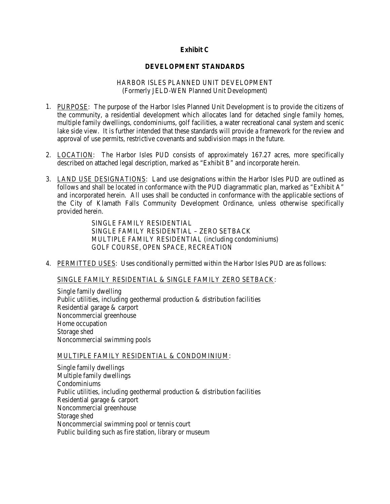## **Exhibit C**

#### **DEVELOPMENT STANDARDS**

#### HARBOR ISLES PLANNED UNIT DEVELOPMENT (Formerly JELD-WEN Planned Unit Development)

- 1. PURPOSE: The purpose of the Harbor Isles Planned Unit Development is to provide the citizens of the community, a residential development which allocates land for detached single family homes, multiple family dwellings, condominiums, golf facilities, a water recreational canal system and scenic lake side view. It is further intended that these standards will provide a framework for the review and approval of use permits, restrictive covenants and subdivision maps in the future.
- 2. LOCATION: The Harbor Isles PUD consists of approximately 167.27 acres, more specifically described on attached legal description, marked as "Exhibit B" and incorporate herein.
- 3. LAND USE DESIGNATIONS: Land use designations within the Harbor Isles PUD are outlined as follows and shall be located in conformance with the PUD diagrammatic plan, marked as "Exhibit A" and incorporated herein. All uses shall be conducted in conformance with the applicable sections of the City of Klamath Falls Community Development Ordinance, unless otherwise specifically provided herein.

SINGLE FAMILY RESIDENTIAL SINGLE FAMILY RESIDENTIAL – ZERO SETBACK MULTIPLE FAMILY RESIDENTIAL (including condominiums) GOLF COURSE, OPEN SPACE, RECREATION

4. PERMITTED USES: Uses conditionally permitted within the Harbor Isles PUD are as follows:

## SINGLE FAMILY RESIDENTIAL & SINGLE FAMILY ZERO SETBACK:

Single family dwelling Public utilities, including geothermal production & distribution facilities Residential garage & carport Noncommercial greenhouse Home occupation Storage shed Noncommercial swimming pools

#### MULTIPLE FAMILY RESIDENTIAL & CONDOMINIUM:

Single family dwellings Multiple family dwellings Condominiums Public utilities, including geothermal production & distribution facilities Residential garage & carport Noncommercial greenhouse Storage shed Noncommercial swimming pool or tennis court Public building such as fire station, library or museum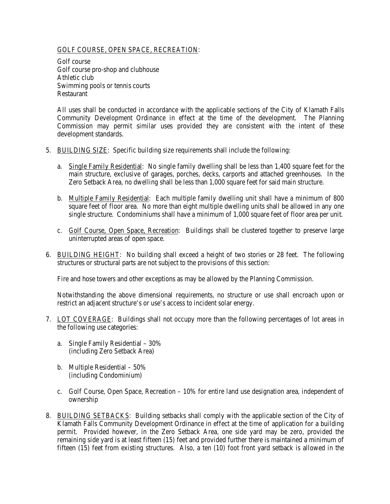## GOLF COURSE, OPEN SPACE, RECREATION:

Golf course Golf course pro-shop and clubhouse Athletic club Swimming pools or tennis courts Restaurant

All uses shall be conducted in accordance with the applicable sections of the City of Klamath Falls Community Development Ordinance in effect at the time of the development. The Planning Commission may permit similar uses provided they are consistent with the intent of these development standards.

- 5. BUILDING SIZE: Specific building size requirements shall include the following:
	- a. Single Family Residential: No single family dwelling shall be less than 1,400 square feet for the main structure, exclusive of garages, porches, decks, carports and attached greenhouses. In the Zero Setback Area, no dwelling shall be less than 1,000 square feet for said main structure.
	- b. Multiple Family Residential: Each multiple family dwelling unit shall have a minimum of 800 square feet of floor area. No more than eight multiple dwelling units shall be allowed in any one single structure. Condominiums shall have a minimum of 1,000 square feet of floor area per unit.
	- c. Golf Course, Open Space, Recreation: Buildings shall be clustered together to preserve large uninterrupted areas of open space.
- 6. BUILDING HEIGHT: No building shall exceed a height of two stories or 28 feet. The following structures or structural parts are not subject to the provisions of this section:

Fire and hose towers and other exceptions as may be allowed by the Planning Commission.

Notwithstanding the above dimensional requirements, no structure or use shall encroach upon or restrict an adjacent structure's or use's access to incident solar energy.

- 7. LOT COVERAGE: Buildings shall not occupy more than the following percentages of lot areas in the following use categories:
	- a. Single Family Residential 30% (including Zero Setback Area)
	- b. Multiple Residential 50% (including Condominium)
	- c. Golf Course, Open Space, Recreation 10% for entire land use designation area, independent of ownership
- 8. BUILDING SETBACKS: Building setbacks shall comply with the applicable section of the City of Klamath Falls Community Development Ordinance in effect at the time of application for a building permit. Provided however, in the Zero Setback Area, one side yard may be zero, provided the remaining side yard is at least fifteen (15) feet and provided further there is maintained a minimum of fifteen (15) feet from existing structures. Also, a ten (10) foot front yard setback is allowed in the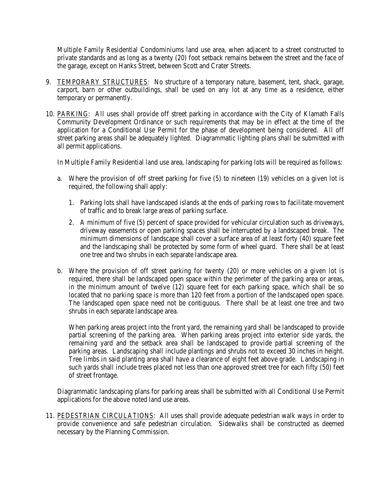Multiple Family Residential Condominiums land use area, when adjacent to a street constructed to private standards and as long as a twenty (20) foot setback remains between the street and the face of the garage, except on Hanks Street, between Scott and Crater Streets.

- 9. TEMPORARY STRUCTURES: No structure of a temporary nature, basement, tent, shack, garage, carport, barn or other outbuildings, shall be used on any lot at any time as a residence, either temporary or permanently.
- 10. PARKING: All uses shall provide off street parking in accordance with the City of Klamath Falls Community Development Ordinance or such requirements that may be in effect at the time of the application for a Conditional Use Permit for the phase of development being considered. All off street parking areas shall be adequately lighted. Diagrammatic lighting plans shall be submitted with all permit applications.

In Multiple Family Residential land use area, landscaping for parking lots will be required as follows:

- a. Where the provision of off street parking for five (5) to nineteen (19) vehicles on a given lot is required, the following shall apply:
	- 1. Parking lots shall have landscaped islands at the ends of parking rows to facilitate movement of traffic and to break large areas of parking surface.
	- 2. A minimum of five (5) percent of space provided for vehicular circulation such as driveways, driveway easements or open parking spaces shall be interrupted by a landscaped break. The minimum dimensions of landscape shall cover a surface area of at least forty (40) square feet and the landscaping shall be protected by some form of wheel guard. There shall be at least one tree and two shrubs in each separate landscape area.
- b. Where the provision of off street parking for twenty (20) or more vehicles on a given lot is required, there shall be landscaped open space within the perimeter of the parking area or areas, in the minimum amount of twelve (12) square feet for each parking space, which shall be so located that no parking space is more than 120 feet from a portion of the landscaped open space. The landscaped open space need not be contiguous. There shall be at least one tree and two shrubs in each separate landscape area.

When parking areas project into the front yard, the remaining yard shall be landscaped to provide partial screening of the parking area. When parking areas project into exterior side yards, the remaining yard and the setback area shall be landscaped to provide partial screening of the parking areas. Landscaping shall include plantings and shrubs not to exceed 30 inches in height. Tree limbs in said planting area shall have a clearance of eight feet above grade. Landscaping in such yards shall include trees placed not less than one approved street tree for each fifty (50) feet of street frontage.

Diagrammatic landscaping plans for parking areas shall be submitted with all Conditional Use Permit applications for the above noted land use areas.

11. PEDESTRIAN CIRCULATIONS: All uses shall provide adequate pedestrian walk ways in order to provide convenience and safe pedestrian circulation. Sidewalks shall be constructed as deemed necessary by the Planning Commission.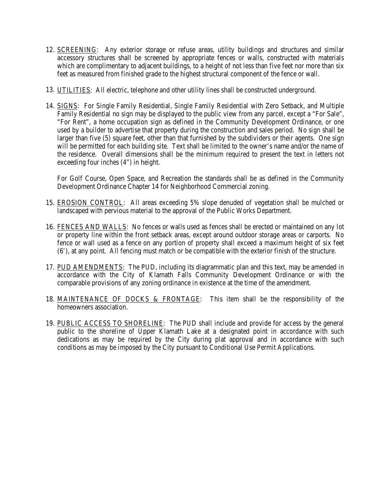- 12. SCREENING: Any exterior storage or refuse areas, utility buildings and structures and similar accessory structures shall be screened by appropriate fences or walls, constructed with materials which are complimentary to adjacent buildings, to a height of not less than five feet nor more than six feet as measured from finished grade to the highest structural component of the fence or wall.
- 13. UTILITIES: All electric, telephone and other utility lines shall be constructed underground.
- 14. SIGNS: For Single Family Residential, Single Family Residential with Zero Setback, and Multiple Family Residential no sign may be displayed to the public view from any parcel, except a "For Sale", "For Rent", a home occupation sign as defined in the Community Development Ordinance, or one used by a builder to advertise that property during the construction and sales period. No sign shall be larger than five (5) square feet, other than that furnished by the subdividers or their agents. One sign will be permitted for each building site. Text shall be limited to the owner's name and/or the name of the residence. Overall dimensions shall be the minimum required to present the text in letters not exceeding four inches (4") in height.

For Golf Course, Open Space, and Recreation the standards shall be as defined in the Community Development Ordinance Chapter 14 for Neighborhood Commercial zoning.

- 15. EROSION CONTROL: All areas exceeding 5% slope denuded of vegetation shall be mulched or landscaped with pervious material to the approval of the Public Works Department.
- 16. FENCES AND WALLS: No fences or walls used as fences shall be erected or maintained on any lot or property line within the front setback areas, except around outdoor storage areas or carports. No fence or wall used as a fence on any portion of property shall exceed a maximum height of six feet (6'), at any point. All fencing must match or be compatible with the exterior finish of the structure.
- 17. PUD AMENDMENTS: The PUD, including its diagrammatic plan and this text, may be amended in accordance with the City of Klamath Falls Community Development Ordinance or with the comparable provisions of any zoning ordinance in existence at the time of the amendment.
- 18. MAINTENANCE OF DOCKS & FRONTAGE: This item shall be the responsibility of the homeowners association.
- 19. PUBLIC ACCESS TO SHORELINE: The PUD shall include and provide for access by the general public to the shoreline of Upper Klamath Lake at a designated point in accordance with such dedications as may be required by the City during plat approval and in accordance with such conditions as may be imposed by the City pursuant to Conditional Use Permit Applications.